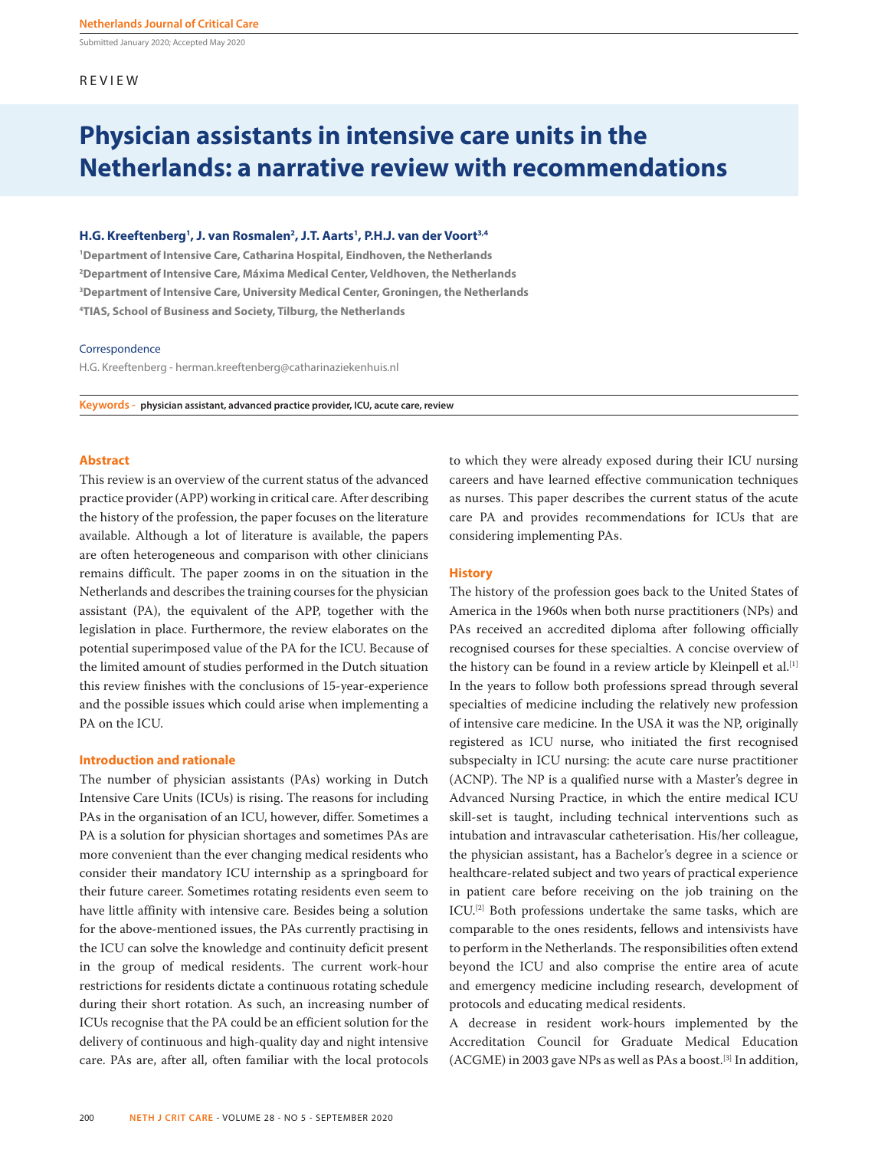Submitted January 2020; Accepted May 2020

# REVIEW

# **Physician assistants in intensive care units in the Netherlands: a narrative review with recommendations**

# **H.G. Kreeftenberg1 , J. van Rosmalen2 , J.T. Aarts1 , P.H.J. van der Voort3,4**

 **Department of Intensive Care, Catharina Hospital, Eindhoven, the Netherlands Department of Intensive Care, Máxima Medical Center, Veldhoven, the Netherlands Department of Intensive Care, University Medical Center, Groningen, the Netherlands TIAS, School of Business and Society, Tilburg, the Netherlands**

#### Correspondence

H.G. Kreeftenberg - herman.kreeftenberg@catharinaziekenhuis.nl

**Keywords - physician assistant, advanced practice provider, ICU, acute care, review**

# **Abstract**

This review is an overview of the current status of the advanced practice provider (APP) working in critical care. After describing the history of the profession, the paper focuses on the literature available. Although a lot of literature is available, the papers are often heterogeneous and comparison with other clinicians remains difficult. The paper zooms in on the situation in the Netherlands and describes the training courses for the physician assistant (PA), the equivalent of the APP, together with the legislation in place. Furthermore, the review elaborates on the potential superimposed value of the PA for the ICU. Because of the limited amount of studies performed in the Dutch situation this review finishes with the conclusions of 15-year-experience and the possible issues which could arise when implementing a PA on the ICU.

#### **Introduction and rationale**

The number of physician assistants (PAs) working in Dutch Intensive Care Units (ICUs) is rising. The reasons for including PAs in the organisation of an ICU, however, differ. Sometimes a PA is a solution for physician shortages and sometimes PAs are more convenient than the ever changing medical residents who consider their mandatory ICU internship as a springboard for their future career. Sometimes rotating residents even seem to have little affinity with intensive care. Besides being a solution for the above-mentioned issues, the PAs currently practising in the ICU can solve the knowledge and continuity deficit present in the group of medical residents. The current work-hour restrictions for residents dictate a continuous rotating schedule during their short rotation. As such, an increasing number of ICUs recognise that the PA could be an efficient solution for the delivery of continuous and high-quality day and night intensive care. PAs are, after all, often familiar with the local protocols to which they were already exposed during their ICU nursing careers and have learned effective communication techniques as nurses. This paper describes the current status of the acute care PA and provides recommendations for ICUs that are considering implementing PAs.

### **History**

The history of the profession goes back to the United States of America in the 1960s when both nurse practitioners (NPs) and PAs received an accredited diploma after following officially recognised courses for these specialties. A concise overview of the history can be found in a review article by Kleinpell et al.<sup>[1]</sup> In the years to follow both professions spread through several specialties of medicine including the relatively new profession of intensive care medicine. In the USA it was the NP, originally registered as ICU nurse, who initiated the first recognised subspecialty in ICU nursing: the acute care nurse practitioner (ACNP). The NP is a qualified nurse with a Master's degree in Advanced Nursing Practice, in which the entire medical ICU skill-set is taught, including technical interventions such as intubation and intravascular catheterisation. His/her colleague, the physician assistant, has a Bachelor's degree in a science or healthcare-related subject and two years of practical experience in patient care before receiving on the job training on the ICU.<sup>[2]</sup> Both professions undertake the same tasks, which are comparable to the ones residents, fellows and intensivists have to perform in the Netherlands. The responsibilities often extend beyond the ICU and also comprise the entire area of acute and emergency medicine including research, development of protocols and educating medical residents.

A decrease in resident work-hours implemented by the Accreditation Council for Graduate Medical Education (ACGME) in 2003 gave NPs as well as PAs a boost.<sup>[3]</sup> In addition,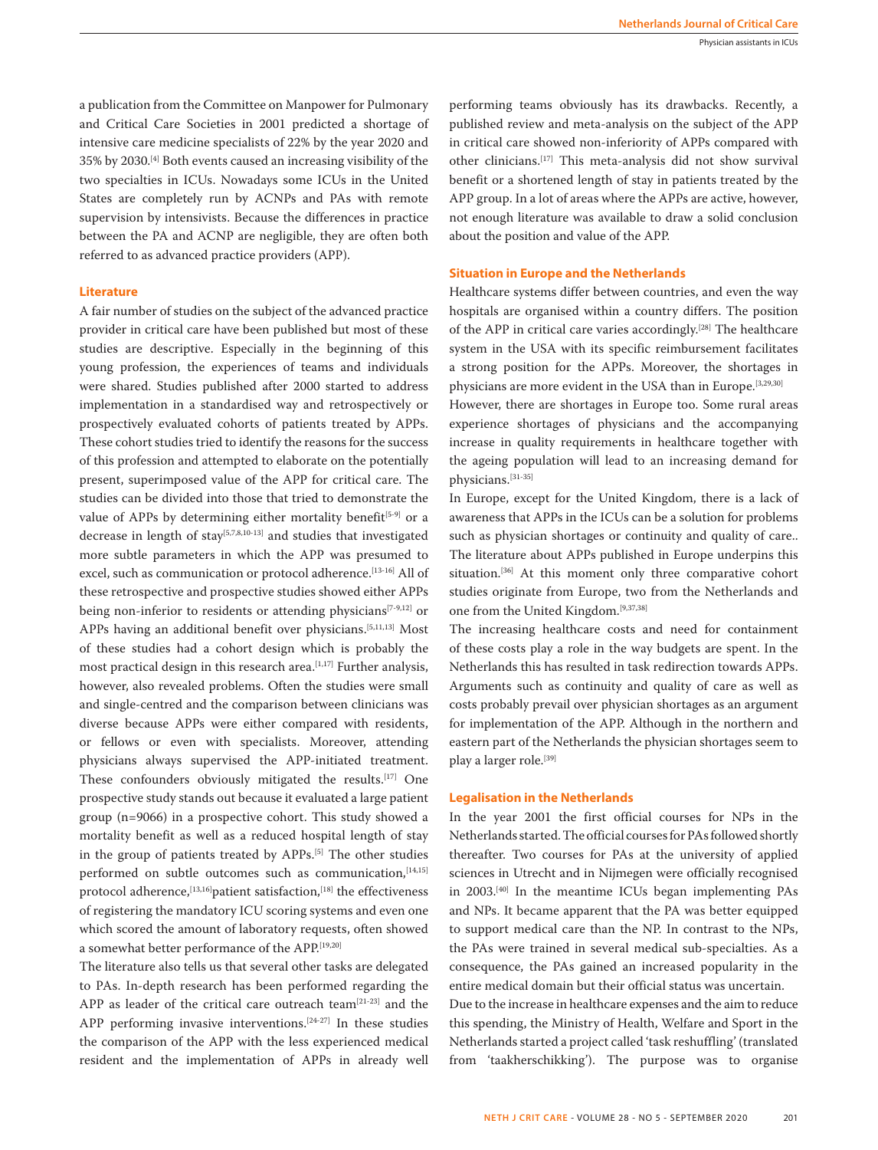a publication from the Committee on Manpower for Pulmonary and Critical Care Societies in 2001 predicted a shortage of intensive care medicine specialists of 22% by the year 2020 and 35% by 2030.[4] Both events caused an increasing visibility of the two specialties in ICUs. Nowadays some ICUs in the United States are completely run by ACNPs and PAs with remote supervision by intensivists. Because the differences in practice between the PA and ACNP are negligible, they are often both referred to as advanced practice providers (APP).

#### **Literature**

A fair number of studies on the subject of the advanced practice provider in critical care have been published but most of these studies are descriptive. Especially in the beginning of this young profession, the experiences of teams and individuals were shared. Studies published after 2000 started to address implementation in a standardised way and retrospectively or prospectively evaluated cohorts of patients treated by APPs. These cohort studies tried to identify the reasons for the success of this profession and attempted to elaborate on the potentially present, superimposed value of the APP for critical care. The studies can be divided into those that tried to demonstrate the value of APPs by determining either mortality benefit<sup>[5-9]</sup> or a decrease in length of stay<sup>[5,7,8,10-13]</sup> and studies that investigated more subtle parameters in which the APP was presumed to excel, such as communication or protocol adherence.[13-16] All of these retrospective and prospective studies showed either APPs being non-inferior to residents or attending physicians<sup>[7-9,12]</sup> or APPs having an additional benefit over physicians.[5,11,13] Most of these studies had a cohort design which is probably the most practical design in this research area.<sup>[1,17]</sup> Further analysis, however, also revealed problems. Often the studies were small and single-centred and the comparison between clinicians was diverse because APPs were either compared with residents, or fellows or even with specialists. Moreover, attending physicians always supervised the APP-initiated treatment. These confounders obviously mitigated the results.[17] One prospective study stands out because it evaluated a large patient group (n=9066) in a prospective cohort. This study showed a mortality benefit as well as a reduced hospital length of stay in the group of patients treated by APPs.<sup>[5]</sup> The other studies performed on subtle outcomes such as communication, [14,15] protocol adherence,<sup>[13,16]</sup>patient satisfaction,<sup>[18]</sup> the effectiveness of registering the mandatory ICU scoring systems and even one which scored the amount of laboratory requests, often showed a somewhat better performance of the APP.[19,20]

The literature also tells us that several other tasks are delegated to PAs. In-depth research has been performed regarding the APP as leader of the critical care outreach team<sup>[21-23]</sup> and the APP performing invasive interventions.[24-27] In these studies the comparison of the APP with the less experienced medical resident and the implementation of APPs in already well performing teams obviously has its drawbacks. Recently, a published review and meta-analysis on the subject of the APP in critical care showed non-inferiority of APPs compared with other clinicians.[17] This meta-analysis did not show survival benefit or a shortened length of stay in patients treated by the APP group. In a lot of areas where the APPs are active, however, not enough literature was available to draw a solid conclusion about the position and value of the APP.

### **Situation in Europe and the Netherlands**

Healthcare systems differ between countries, and even the way hospitals are organised within a country differs. The position of the APP in critical care varies accordingly.[28] The healthcare system in the USA with its specific reimbursement facilitates a strong position for the APPs. Moreover, the shortages in physicians are more evident in the USA than in Europe.<sup>[3,29,30]</sup>

However, there are shortages in Europe too. Some rural areas experience shortages of physicians and the accompanying increase in quality requirements in healthcare together with the ageing population will lead to an increasing demand for physicians.[31-35]

In Europe, except for the United Kingdom, there is a lack of awareness that APPs in the ICUs can be a solution for problems such as physician shortages or continuity and quality of care.. The literature about APPs published in Europe underpins this situation.<sup>[36]</sup> At this moment only three comparative cohort studies originate from Europe, two from the Netherlands and one from the United Kingdom.[9,37,38]

The increasing healthcare costs and need for containment of these costs play a role in the way budgets are spent. In the Netherlands this has resulted in task redirection towards APPs. Arguments such as continuity and quality of care as well as costs probably prevail over physician shortages as an argument for implementation of the APP. Although in the northern and eastern part of the Netherlands the physician shortages seem to play a larger role.<sup>[39]</sup>

#### **Legalisation in the Netherlands**

In the year 2001 the first official courses for NPs in the Netherlands started. The official courses for PAs followed shortly thereafter. Two courses for PAs at the university of applied sciences in Utrecht and in Nijmegen were officially recognised in 2003.[40] In the meantime ICUs began implementing PAs and NPs. It became apparent that the PA was better equipped to support medical care than the NP. In contrast to the NPs, the PAs were trained in several medical sub-specialties. As a consequence, the PAs gained an increased popularity in the entire medical domain but their official status was uncertain.

Due to the increase in healthcare expenses and the aim to reduce this spending, the Ministry of Health, Welfare and Sport in the Netherlands started a project called 'task reshuffling' (translated from 'taakherschikking'). The purpose was to organise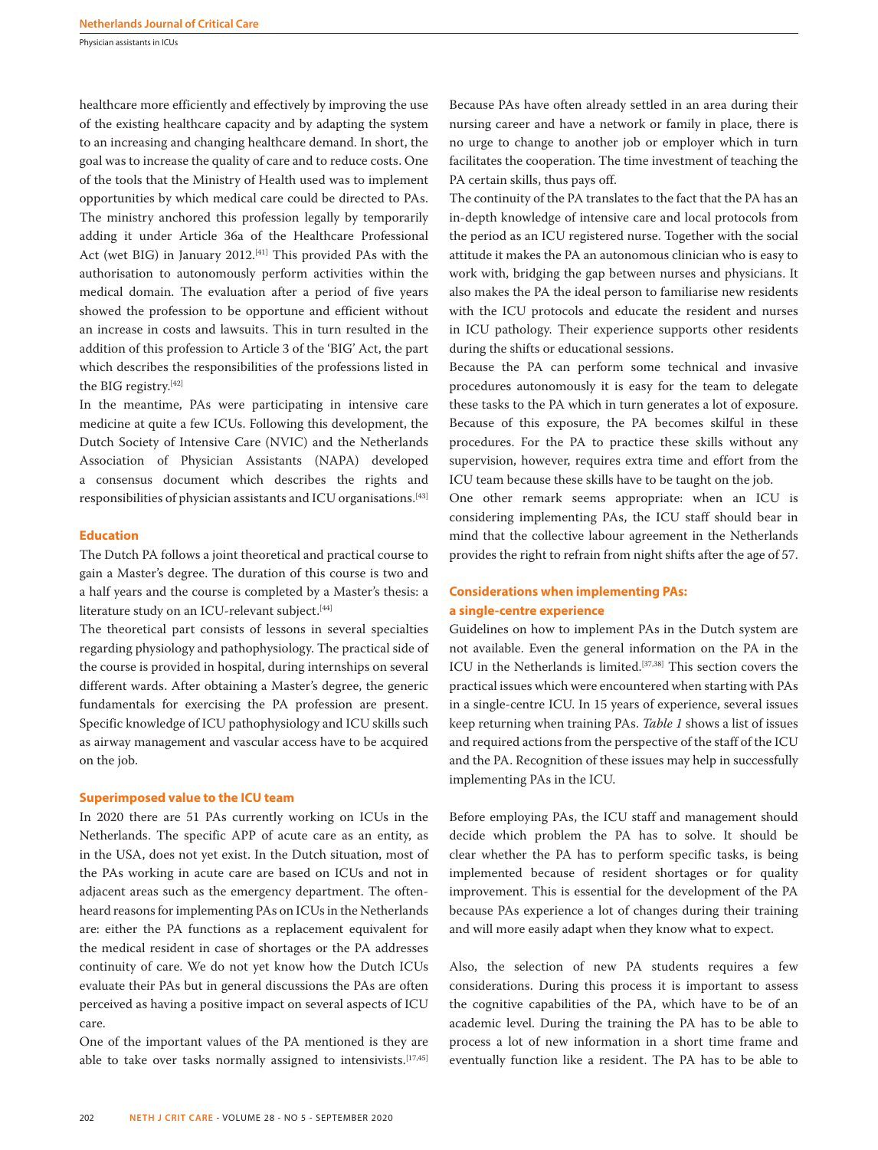Physician assistants in ICUs

healthcare more efficiently and effectively by improving the use of the existing healthcare capacity and by adapting the system to an increasing and changing healthcare demand. In short, the goal was to increase the quality of care and to reduce costs. One of the tools that the Ministry of Health used was to implement opportunities by which medical care could be directed to PAs. The ministry anchored this profession legally by temporarily adding it under Article 36a of the Healthcare Professional Act (wet BIG) in January 2012.<sup>[41]</sup> This provided PAs with the authorisation to autonomously perform activities within the medical domain. The evaluation after a period of five years showed the profession to be opportune and efficient without an increase in costs and lawsuits. This in turn resulted in the addition of this profession to Article 3 of the 'BIG' Act, the part which describes the responsibilities of the professions listed in the BIG registry.[42]

In the meantime, PAs were participating in intensive care medicine at quite a few ICUs. Following this development, the Dutch Society of Intensive Care (NVIC) and the Netherlands Association of Physician Assistants (NAPA) developed a consensus document which describes the rights and responsibilities of physician assistants and ICU organisations.[43]

#### **Education**

The Dutch PA follows a joint theoretical and practical course to gain a Master's degree. The duration of this course is two and a half years and the course is completed by a Master's thesis: a literature study on an ICU-relevant subject.<sup>[44]</sup>

The theoretical part consists of lessons in several specialties regarding physiology and pathophysiology. The practical side of the course is provided in hospital, during internships on several different wards. After obtaining a Master's degree, the generic fundamentals for exercising the PA profession are present. Specific knowledge of ICU pathophysiology and ICU skills such as airway management and vascular access have to be acquired on the job.

#### **Superimposed value to the ICU team**

In 2020 there are 51 PAs currently working on ICUs in the Netherlands. The specific APP of acute care as an entity, as in the USA, does not yet exist. In the Dutch situation, most of the PAs working in acute care are based on ICUs and not in adjacent areas such as the emergency department. The oftenheard reasons for implementing PAs on ICUs in the Netherlands are: either the PA functions as a replacement equivalent for the medical resident in case of shortages or the PA addresses continuity of care. We do not yet know how the Dutch ICUs evaluate their PAs but in general discussions the PAs are often perceived as having a positive impact on several aspects of ICU care.

One of the important values of the PA mentioned is they are able to take over tasks normally assigned to intensivists.<sup>[17,45]</sup> Because PAs have often already settled in an area during their nursing career and have a network or family in place, there is no urge to change to another job or employer which in turn facilitates the cooperation. The time investment of teaching the PA certain skills, thus pays off.

The continuity of the PA translates to the fact that the PA has an in-depth knowledge of intensive care and local protocols from the period as an ICU registered nurse. Together with the social attitude it makes the PA an autonomous clinician who is easy to work with, bridging the gap between nurses and physicians. It also makes the PA the ideal person to familiarise new residents with the ICU protocols and educate the resident and nurses in ICU pathology. Their experience supports other residents during the shifts or educational sessions.

Because the PA can perform some technical and invasive procedures autonomously it is easy for the team to delegate these tasks to the PA which in turn generates a lot of exposure. Because of this exposure, the PA becomes skilful in these procedures. For the PA to practice these skills without any supervision, however, requires extra time and effort from the ICU team because these skills have to be taught on the job.

One other remark seems appropriate: when an ICU is considering implementing PAs, the ICU staff should bear in mind that the collective labour agreement in the Netherlands provides the right to refrain from night shifts after the age of 57.

# **Considerations when implementing PAs: a single-centre experience**

Guidelines on how to implement PAs in the Dutch system are not available. Even the general information on the PA in the ICU in the Netherlands is limited.[37,38] This section covers the practical issues which were encountered when starting with PAs in a single-centre ICU. In 15 years of experience, several issues keep returning when training PAs. *Table 1* shows a list of issues and required actions from the perspective of the staff of the ICU and the PA. Recognition of these issues may help in successfully implementing PAs in the ICU.

Before employing PAs, the ICU staff and management should decide which problem the PA has to solve. It should be clear whether the PA has to perform specific tasks, is being implemented because of resident shortages or for quality improvement. This is essential for the development of the PA because PAs experience a lot of changes during their training and will more easily adapt when they know what to expect.

Also, the selection of new PA students requires a few considerations. During this process it is important to assess the cognitive capabilities of the PA, which have to be of an academic level. During the training the PA has to be able to process a lot of new information in a short time frame and eventually function like a resident. The PA has to be able to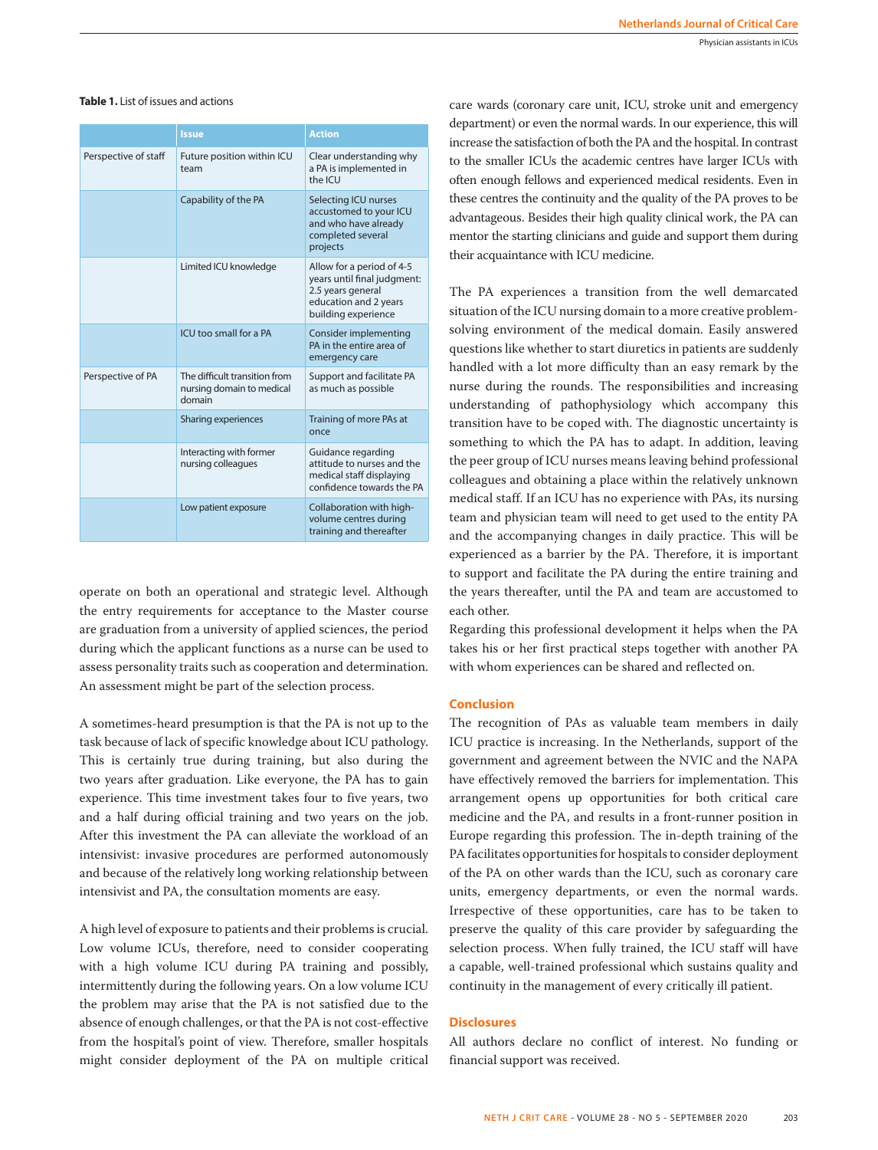# **Table 1.** List of issues and actions

|                      | <b>Issue</b>                                                         | <b>Action</b>                                                                                                                 |
|----------------------|----------------------------------------------------------------------|-------------------------------------------------------------------------------------------------------------------------------|
| Perspective of staff | Future position within ICU<br>team                                   | Clear understanding why<br>a PA is implemented in<br>the ICU                                                                  |
|                      | Capability of the PA                                                 | Selecting ICU nurses<br>accustomed to your ICU<br>and who have already<br>completed several<br>projects                       |
|                      | Limited ICU knowledge                                                | Allow for a period of 4-5<br>years until final judgment:<br>2.5 years general<br>education and 2 years<br>building experience |
|                      | ICU too small for a PA                                               | Consider implementing<br>PA in the entire area of<br>emergency care                                                           |
| Perspective of PA    | The difficult transition from<br>nursing domain to medical<br>domain | Support and facilitate PA<br>as much as possible                                                                              |
|                      | Sharing experiences                                                  | Training of more PAs at<br>once                                                                                               |
|                      | Interacting with former<br>nursing colleagues                        | Guidance regarding<br>attitude to nurses and the<br>medical staff displaying<br>confidence towards the PA                     |
|                      | Low patient exposure                                                 | Collaboration with high-<br>volume centres during<br>training and thereafter                                                  |

operate on both an operational and strategic level. Although the entry requirements for acceptance to the Master course are graduation from a university of applied sciences, the period during which the applicant functions as a nurse can be used to assess personality traits such as cooperation and determination. An assessment might be part of the selection process.

A sometimes-heard presumption is that the PA is not up to the task because of lack of specific knowledge about ICU pathology. This is certainly true during training, but also during the two years after graduation. Like everyone, the PA has to gain experience. This time investment takes four to five years, two and a half during official training and two years on the job. After this investment the PA can alleviate the workload of an intensivist: invasive procedures are performed autonomously and because of the relatively long working relationship between intensivist and PA, the consultation moments are easy.

A high level of exposure to patients and their problems is crucial. Low volume ICUs, therefore, need to consider cooperating with a high volume ICU during PA training and possibly, intermittently during the following years. On a low volume ICU the problem may arise that the PA is not satisfied due to the absence of enough challenges, or that the PA is not cost-effective from the hospital's point of view. Therefore, smaller hospitals might consider deployment of the PA on multiple critical care wards (coronary care unit, ICU, stroke unit and emergency department) or even the normal wards. In our experience, this will increase the satisfaction of both the PA and the hospital. In contrast to the smaller ICUs the academic centres have larger ICUs with often enough fellows and experienced medical residents. Even in these centres the continuity and the quality of the PA proves to be advantageous. Besides their high quality clinical work, the PA can mentor the starting clinicians and guide and support them during their acquaintance with ICU medicine.

The PA experiences a transition from the well demarcated situation of the ICU nursing domain to a more creative problemsolving environment of the medical domain. Easily answered questions like whether to start diuretics in patients are suddenly handled with a lot more difficulty than an easy remark by the nurse during the rounds. The responsibilities and increasing understanding of pathophysiology which accompany this transition have to be coped with. The diagnostic uncertainty is something to which the PA has to adapt. In addition, leaving the peer group of ICU nurses means leaving behind professional colleagues and obtaining a place within the relatively unknown medical staff. If an ICU has no experience with PAs, its nursing team and physician team will need to get used to the entity PA and the accompanying changes in daily practice. This will be experienced as a barrier by the PA. Therefore, it is important to support and facilitate the PA during the entire training and the years thereafter, until the PA and team are accustomed to each other.

Regarding this professional development it helps when the PA takes his or her first practical steps together with another PA with whom experiences can be shared and reflected on.

#### **Conclusion**

The recognition of PAs as valuable team members in daily ICU practice is increasing. In the Netherlands, support of the government and agreement between the NVIC and the NAPA have effectively removed the barriers for implementation. This arrangement opens up opportunities for both critical care medicine and the PA, and results in a front-runner position in Europe regarding this profession. The in-depth training of the PA facilitates opportunities for hospitals to consider deployment of the PA on other wards than the ICU, such as coronary care units, emergency departments, or even the normal wards. Irrespective of these opportunities, care has to be taken to preserve the quality of this care provider by safeguarding the selection process. When fully trained, the ICU staff will have a capable, well-trained professional which sustains quality and continuity in the management of every critically ill patient.

#### **Disclosures**

All authors declare no conflict of interest. No funding or financial support was received.